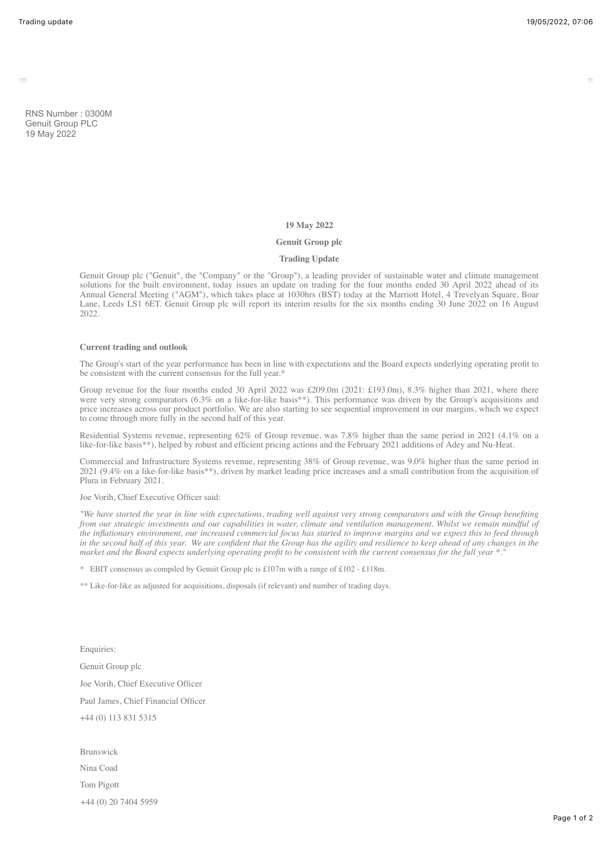RNS Number : 0300M Genuit Group PLC 19 May 2022

# **19 May 2022**

## **Genuit Group plc**

# **Trading Update**

Genuit Group plc ("Genuit", the "Company" or the "Group"), a leading provider of sustainable water and climate management solutions for the built environment, today issues an update on trading for the four months ended 30 April 2022 ahead of its Annual General Meeting ("AGM"), which takes place at 1030hrs (BST) today at the Marriott Hotel, 4 Trevelyan Square, Boar Lane, Leeds LS1 6ET. Genuit Group plc will report its interim results for the six months ending 30 June 2022 on 16 August  $2022$ 

#### **Current trading and outlook**

The Group's start of the year performance has been in line with expectations and the Board expects underlying operating profit to be consistent with the current consensus for the full year.\*

Group revenue for the four months ended 30 April 2022 was £209.0m (2021: £193.0m), 8.3% higher than 2021, where there were very strong comparators (6.3% on a like-for-like basis\*\*). This performance was driven by the Group's acquisitions and price increases across our product portfolio. We are also starting to see sequential improvement in our margins, which we expect to come through more fully in the second half of this year.

Residential Systems revenue, representing 62% of Group revenue, was 7.8% higher than the same period in 2021 (4.1% on a like-for-like basis\*\*), helped by robust and efficient pricing actions and the February 2021 additions of Adey and Nu-Heat.

Commercial and Infrastructure Systems revenue, representing 38% of Group revenue, was 9.0% higher than the same period in 2021 (9.4% on a like-for-like basis\*\*), driven by market leading price increases and a small contribution from the acquisition of Plura in February 2021.

## Joe Vorih, Chief Executive Officer said:

*"We have started the year in line with expectations, trading well against very strong comparators and with the Group benefiting from our strategic investments and our capabilities in water, climate and ventilation management. Whilst we remain mindful of the inflationary environment, our increased commercial focus has started to improve margins and we expect this to feed through in the second half of this year. We are confident that the Group has the agility and resilience to keep ahead of any changes in the market and the Board expects underlying operating profit to be consistent with the current consensus for the full year \*."*

\* EBIT consensus as compiled by Genuit Group plc is  $\text{\pounds}107\text{m}$  with a range of  $\text{\pounds}102 - \text{\pounds}118\text{m}$ .

\*\* Like-for-like as adjusted for acquisitions, disposals (if relevant) and number of trading days.

Enquiries: Genuit Group plc Joe Vorih, Chief Executive Officer Paul James, Chief Financial Officer +44 (0) 113 831 5315

Brunswick Nina Coad Tom Pigott +44 (0) 20 7404 5959